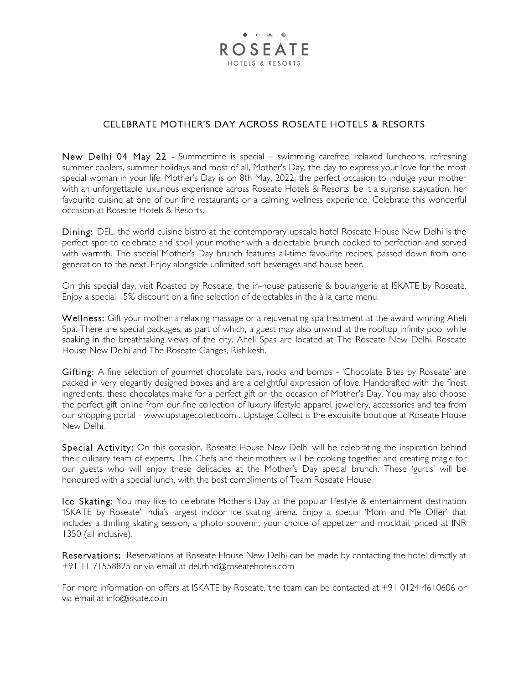

## CELEBRATE MOTHER'S DAY ACROSS ROSEATE HOTELS & RESORTS

New Delhi 04 May 22 - Summertime is special – swimming carefree, relaxed luncheons, refreshing summer coolers, summer holidays and most of all, Mother's Day, the day to express your love for the most special woman in your life. Mother's Day is on 8th May, 2022, the perfect occasion to indulge your mother with an unforgettable luxurious experience across Roseate Hotels & Resorts, be it a surprise staycation, her favourite cuisine at one of our fine restaurants or a calming wellness experience. Celebrate this wonderful occasion at Roseate Hotels & Resorts.

Dining: DEL, the world cuisine bistro at the contemporary upscale hotel Roseate House New Delhi is the perfect spot to celebrate and spoil your mother with a delectable brunch cooked to perfection and served with warmth. The special Mother's Day brunch features all-time favourite recipes, passed down from one generation to the next. Enjoy alongside unlimited soft beverages and house beer.

On this special day, visit Roasted by Roseate, the in-house patisserie & boulangerie at ISKATE by Roseate. Enjoy a special 15% discount on a fine selection of delectables in the à la carte menu.

Wellness: Gift your mother a relaxing massage or a rejuvenating spa treatment at the award winning Aheli Spa. There are special packages, as part of which, a guest may also unwind at the rooftop infinity pool while soaking in the breathtaking views of the city. Aheli Spas are located at The Roseate New Delhi, Roseate House New Delhi and The Roseate Ganges, Rishikesh.

Gifting: A fine selection of gourmet chocolate bars, rocks and bombs - 'Chocolate Bites by Roseate' are packed in very elegantly designed boxes and are a delightful expression of love. Handcrafted with the finest ingredients, these chocolates make for a perfect gift on the occasion of Mother's Day. You may also choose the perfect gift online from our fine collection of luxury lifestyle apparel, jewellery, accessories and tea from our shopping portal - www.upstagecollect.com . Upstage Collect is the exquisite boutique at Roseate House New Delhi.

Special Activity: On this occasion, Roseate House New Delhi will be celebrating the inspiration behind their culinary team of experts. The Chefs and their mothers will be cooking together and creating magic for our guests who will enjoy these delicacies at the Mother's Day special brunch. These 'gurus' will be honoured with a special lunch, with the best compliments of Team Roseate House.

Ice Skating: You may like to celebrate Mother's Day at the popular lifestyle & entertainment destination 'ISKATE by Roseate' India's largest indoor ice skating arena. Enjoy a special 'Mom and Me Offer' that includes a thrilling skating session, a photo souvenir, your choice of appetizer and mocktail, priced at INR 1350 (all inclusive).

Reservations: Reservations at Roseate House New Delhi can be made by contacting the hotel directly at +91 11 71558825 or via email at del.rhnd@roseatehotels.com

For more information on offers at ISKATE by Roseate, the team can be contacted at +91 0124 4610606 or via email at info@iskate.co.in